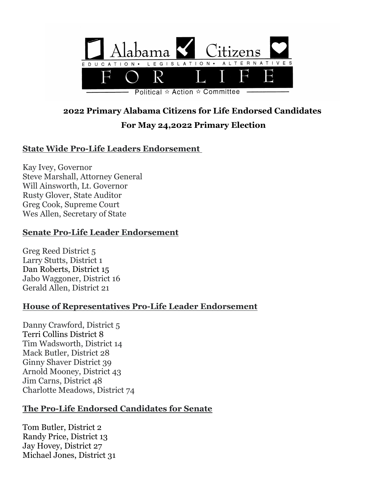

Political  $\hat{\varphi}$  Action  $\hat{\varphi}$  Committee

# **2022 Primary Alabama Citizens for Life Endorsed Candidates For May 24,2022 Primary Election**

# **State Wide Pro-Life Leaders Endorsement**

Kay Ivey, Governor Steve Marshall, Attorney General Will Ainsworth, Lt. Governor Rusty Glover, State Auditor Greg Cook, Supreme Court Wes Allen, Secretary of State

#### **Senate Pro-Life Leader Endorsement**

Greg Reed District 5 Larry Stutts, District 1 Dan Roberts, District 15 Jabo Waggoner, District 16 Gerald Allen, District 21

## **House of Representatives Pro-Life Leader Endorsement**

Danny Crawford, District 5 Terri Collins District 8 Tim Wadsworth, District 14 Mack Butler, District 28 Ginny Shaver District 39 Arnold Mooney, District 43 Jim Carns, District 48 Charlotte Meadows, District 74

## **The Pro-Life Endorsed Candidates for Senate**

Tom Butler, District 2 Randy Price, District 13 Jay Hovey, District 27 Michael Jones, District 31